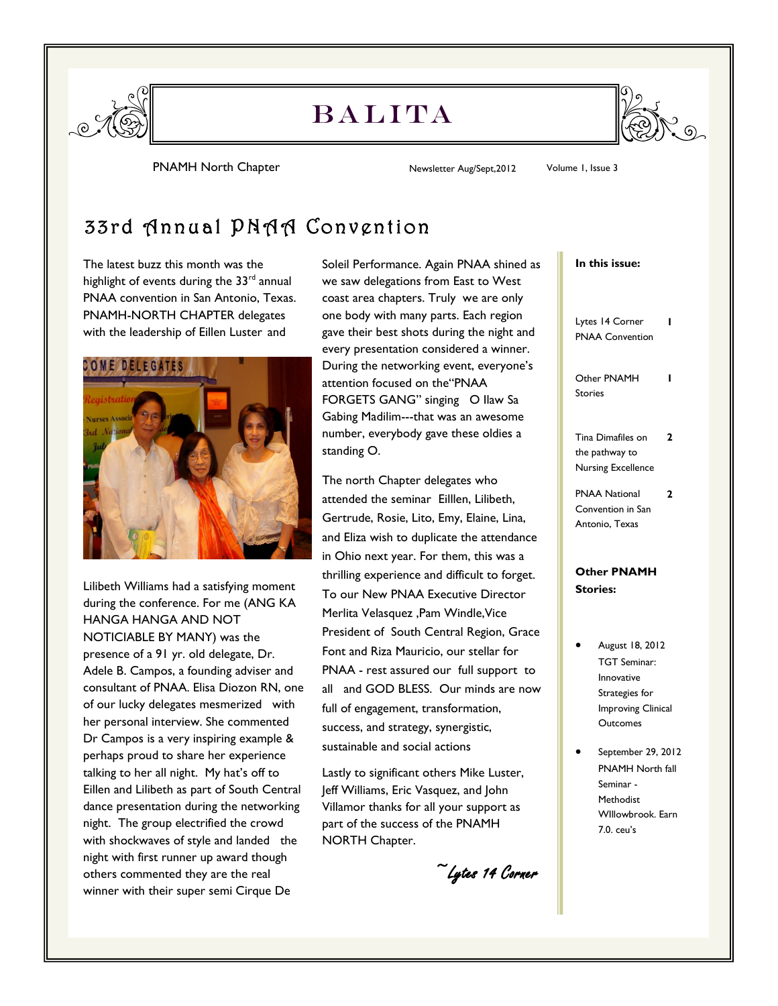

## **BALITA**



PNAMH North Chapter **Newsletter Aug/Sept,2012** Volume 1, Issue 3

## 33rd Annual PNAA Convention

The latest buzz this month was the highlight of events during the  $33<sup>rd</sup>$  annual PNAA convention in San Antonio, Texas. PNAMH-NORTH CHAPTER delegates with the leadership of Eillen Luster and



Lilibeth Williams had a satisfying moment during the conference. For me (ANG KA HANGA HANGA AND NOT NOTICIABLE BY MANY) was the presence of a 91 yr. old delegate, Dr. Adele B. Campos, a founding adviser and consultant of PNAA. Elisa Diozon RN, one of our lucky delegates mesmerized with her personal interview. She commented Dr Campos is a very inspiring example & perhaps proud to share her experience talking to her all night. My hat's off to Eillen and Lilibeth as part of South Central dance presentation during the networking night. The group electrified the crowd with shockwaves of style and landed the night with first runner up award though others commented they are the real winner with their super semi Cirque De

Soleil Performance. Again PNAA shined as we saw delegations from East to West coast area chapters. Truly we are only one body with many parts. Each region gave their best shots during the night and every presentation considered a winner. During the networking event, everyone's attention focused on the"PNAA FORGETS GANG" singing O Ilaw Sa Gabing Madilim---that was an awesome number, everybody gave these oldies a standing O.

The north Chapter delegates who attended the seminar Eilllen, Lilibeth, Gertrude, Rosie, Lito, Emy, Elaine, Lina, and Eliza wish to duplicate the attendance in Ohio next year. For them, this was a thrilling experience and difficult to forget. To our New PNAA Executive Director Merlita Velasquez ,Pam Windle,Vice President of South Central Region, Grace Font and Riza Mauricio, our stellar for PNAA - rest assured our full support to all and GOD BLESS. Our minds are now full of engagement, transformation, success, and strategy, synergistic, sustainable and social actions

Lastly to significant others Mike Luster, Jeff Williams, Eric Vasquez, and John Villamor thanks for all your support as part of the success of the PNAMH NORTH Chapter.

~Lytes 14 Corner

#### **In this issue:**

Lytes 14 Corner PNAA Convention **1** Other PNAMH Stories **1** Tina Dimafiles on the pathway to Nursing Excellence **2** PNAA National Convention in San Antonio, Texas **2**

#### **Other PNAMH Stories:**

- August 18, 2012 TGT Seminar: Innovative Strategies for Improving Clinical **Outcomes**
- September 29, 2012 PNAMH North fall Seminar - Methodist WIllowbrook. Earn 7.0. ceu's